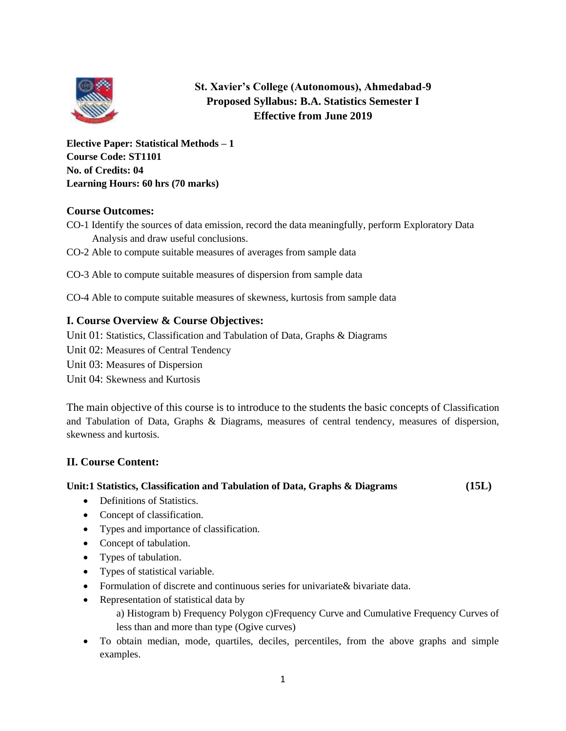

# **St. Xavier's College (Autonomous), Ahmedabad-9 Proposed Syllabus: B.A. Statistics Semester I Effective from June 2019**

**Elective Paper: Statistical Methods – 1 Course Code: ST1101 No. of Credits: 04 Learning Hours: 60 hrs (70 marks)**

# **Course Outcomes:**

- CO-1 Identify the sources of data emission, record the data meaningfully, perform Exploratory Data Analysis and draw useful conclusions.
- CO-2 Able to compute suitable measures of averages from sample data
- CO-3 Able to compute suitable measures of dispersion from sample data
- CO-4 Able to compute suitable measures of skewness, kurtosis from sample data

# **I. Course Overview & Course Objectives:**

Unit 01: Statistics, Classification and Tabulation of Data, Graphs & Diagrams

- Unit 02: Measures of Central Tendency
- Unit 03: Measures of Dispersion

Unit 04: Skewness and Kurtosis

The main objective of this course is to introduce to the students the basic concepts of Classification and Tabulation of Data, Graphs & Diagrams, measures of central tendency, measures of dispersion, skewness and kurtosis.

# **II. Course Content:**

# **Unit:1 Statistics, Classification and Tabulation of Data, Graphs & Diagrams (15L)**

- Definitions of Statistics.
- Concept of classification.
- Types and importance of classification.
- Concept of tabulation.
- Types of tabulation.
- Types of statistical variable.
- Formulation of discrete and continuous series for univariate & bivariate data.
- Representation of statistical data by
	- a) Histogram b) Frequency Polygon c)Frequency Curve and Cumulative Frequency Curves of less than and more than type (Ogive curves)
- To obtain median, mode, quartiles, deciles, percentiles, from the above graphs and simple examples.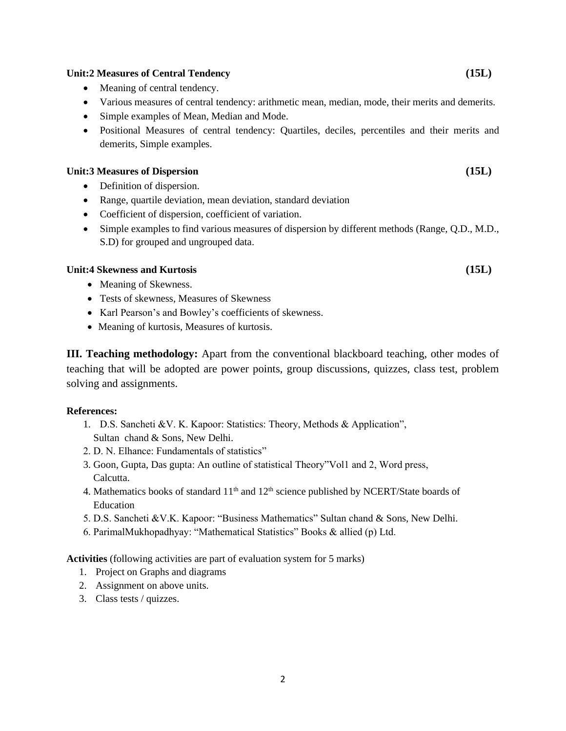#### **Unit:2 Measures of Central Tendency (15L)**

- Meaning of central tendency.
- Various measures of central tendency: arithmetic mean, median, mode, their merits and demerits.
- Simple examples of Mean, Median and Mode.
- Positional Measures of central tendency: Quartiles, deciles, percentiles and their merits and demerits, Simple examples.

#### **Unit:3 Measures of Dispersion (15L)**

- Definition of dispersion.
- Range, quartile deviation, mean deviation, standard deviation
- Coefficient of dispersion, coefficient of variation.
- Simple examples to find various measures of dispersion by different methods (Range, Q.D., M.D., S.D) for grouped and ungrouped data.

#### **Unit:4 Skewness and Kurtosis (15L)**

- Meaning of Skewness.
- Tests of skewness, Measures of Skewness
- Karl Pearson's and Bowley's coefficients of skewness.
- Meaning of kurtosis, Measures of kurtosis.

**III. Teaching methodology:** Apart from the conventional blackboard teaching, other modes of teaching that will be adopted are power points, group discussions, quizzes, class test, problem solving and assignments.

#### **References:**

- 1. D.S. Sancheti &V. K. Kapoor: Statistics: Theory, Methods & Application", Sultan chand & Sons, New Delhi.
- 2. D. N. Elhance: Fundamentals of statistics"
- 3. Goon, Gupta, Das gupta: An outline of statistical Theory"Vol1 and 2, Word press, Calcutta.
- 4. Mathematics books of standard  $11<sup>th</sup>$  and  $12<sup>th</sup>$  science published by NCERT/State boards of Education
- 5. D.S. Sancheti &V.K. Kapoor: "Business Mathematics" Sultan chand & Sons, New Delhi.
- 6. ParimalMukhopadhyay: "Mathematical Statistics" Books & allied (p) Ltd.

- 1. Project on Graphs and diagrams
- 2. Assignment on above units.
- 3. Class tests / quizzes.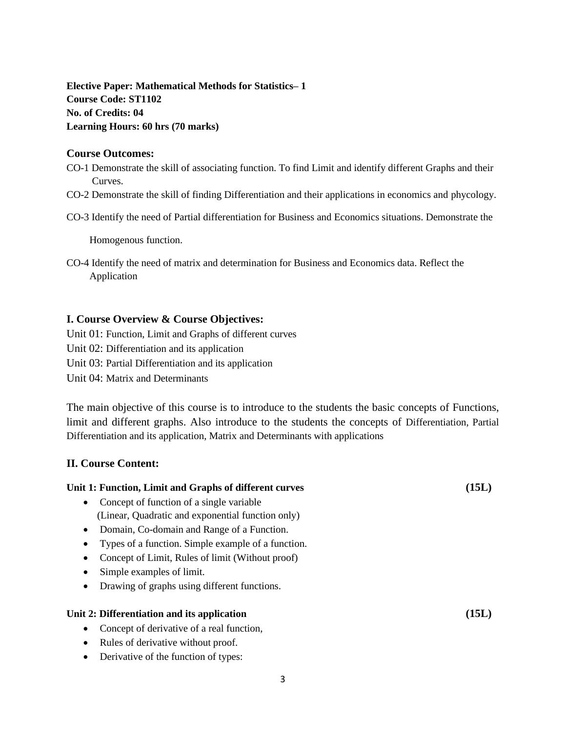**Elective Paper: Mathematical Methods for Statistics– 1 Course Code: ST1102 No. of Credits: 04 Learning Hours: 60 hrs (70 marks)**

#### **Course Outcomes:**

CO-1 Demonstrate the skill of associating function. To find Limit and identify different Graphs and their Curves.

- CO-2 Demonstrate the skill of finding Differentiation and their applications in economics and phycology.
- CO-3 Identify the need of Partial differentiation for Business and Economics situations. Demonstrate the

Homogenous function.

CO-4 Identify the need of matrix and determination for Business and Economics data. Reflect the Application

# **I. Course Overview & Course Objectives:**

Unit 01: Function, Limit and Graphs of different curves Unit 02: Differentiation and its application Unit 03: Partial Differentiation and its application

Unit 04: Matrix and Determinants

The main objective of this course is to introduce to the students the basic concepts of Functions, limit and different graphs. Also introduce to the students the concepts of Differentiation, Partial Differentiation and its application, Matrix and Determinants with applications

**Unit 1: Function, Limit and Graphs of different curves (15L)**

# **II. Course Content:**

| Unit 1. Function, Linni and Oraphs of unit the curves     | 1 J.J.J |
|-----------------------------------------------------------|---------|
| Concept of function of a single variable<br>$\bullet$     |         |
| (Linear, Quadratic and exponential function only)         |         |
| Domain, Co-domain and Range of a Function.<br>$\bullet$   |         |
| Types of a function. Simple example of a function.<br>٠   |         |
| Concept of Limit, Rules of limit (Without proof)<br>٠     |         |
| Simple examples of limit.                                 |         |
| Drawing of graphs using different functions.<br>$\bullet$ |         |
| Unit 2: Differentiation and its application               | (15L)   |
| Concept of derivative of a real function,<br>$\bullet$    |         |
| Rules of derivative without proof.<br>$\bullet$           |         |
| Derivative of the function of types:<br>$\bullet$         |         |
|                                                           |         |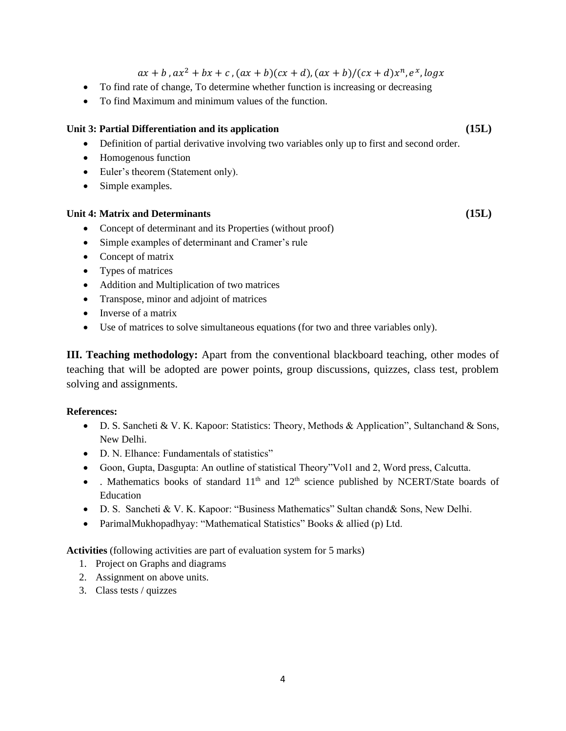$ax + b$ ,  $ax^2 + bx + c$ ,  $(ax + b)(cx + d)$ ,  $(ax + b)/(cx + d)x^n$ ,  $e^x$ ,  $logx$ 

- To find rate of change, To determine whether function is increasing or decreasing
- To find Maximum and minimum values of the function.

#### **Unit 3: Partial Differentiation and its application (15L)**

- Definition of partial derivative involving two variables only up to first and second order.
- Homogenous function
- Euler's theorem (Statement only).
- Simple examples.

#### **Unit 4: Matrix and Determinants (15L)**

- Concept of determinant and its Properties (without proof)
- Simple examples of determinant and Cramer's rule
- Concept of matrix
- Types of matrices
- Addition and Multiplication of two matrices
- Transpose, minor and adjoint of matrices
- Inverse of a matrix
- Use of matrices to solve simultaneous equations (for two and three variables only).

**III. Teaching methodology:** Apart from the conventional blackboard teaching, other modes of teaching that will be adopted are power points, group discussions, quizzes, class test, problem solving and assignments.

#### **References:**

- D. S. Sancheti & V. K. Kapoor: Statistics: Theory, Methods & Application", Sultanchand & Sons, New Delhi.
- D. N. Elhance: Fundamentals of statistics"
- Goon, Gupta, Dasgupta: An outline of statistical Theory"Vol1 and 2, Word press, Calcutta.
- . Mathematics books of standard  $11<sup>th</sup>$  and  $12<sup>th</sup>$  science published by NCERT/State boards of Education
- D. S. Sancheti & V. K. Kapoor: "Business Mathematics" Sultan chand& Sons, New Delhi.
- ParimalMukhopadhyay: "Mathematical Statistics" Books & allied (p) Ltd.

- 1. Project on Graphs and diagrams
- 2. Assignment on above units.
- 3. Class tests / quizzes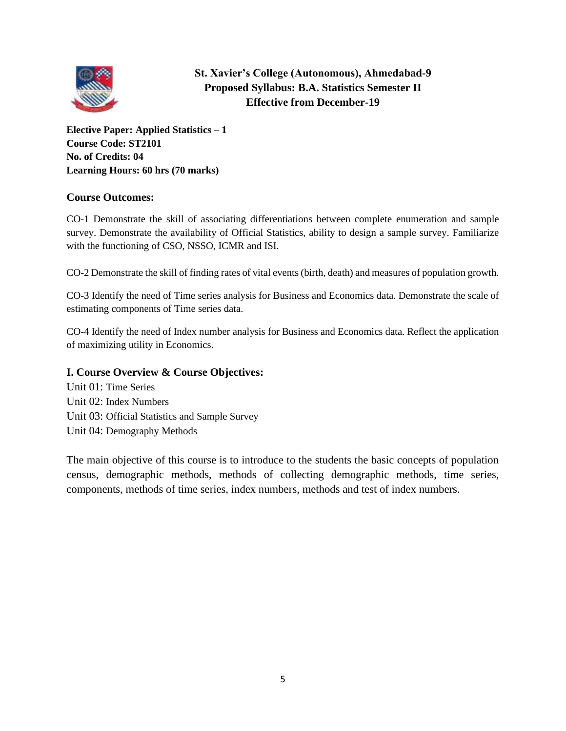

# **St. Xavier's College (Autonomous), Ahmedabad-9 Proposed Syllabus: B.A. Statistics Semester II Effective from December-19**

**Elective Paper: Applied Statistics – 1 Course Code: ST2101 No. of Credits: 04 Learning Hours: 60 hrs (70 marks)**

# **Course Outcomes:**

CO-1 Demonstrate the skill of associating differentiations between complete enumeration and sample survey. Demonstrate the availability of Official Statistics, ability to design a sample survey. Familiarize with the functioning of CSO, NSSO, ICMR and ISI.

CO-2 Demonstrate the skill of finding rates of vital events (birth, death) and measures of population growth.

CO-3 Identify the need of Time series analysis for Business and Economics data. Demonstrate the scale of estimating components of Time series data.

CO-4 Identify the need of Index number analysis for Business and Economics data. Reflect the application of maximizing utility in Economics.

# **I. Course Overview & Course Objectives:**

Unit 01: Time Series Unit 02: Index Numbers Unit 03: Official Statistics and Sample Survey Unit 04: Demography Methods

The main objective of this course is to introduce to the students the basic concepts of population census, demographic methods, methods of collecting demographic methods, time series, components, methods of time series, index numbers, methods and test of index numbers.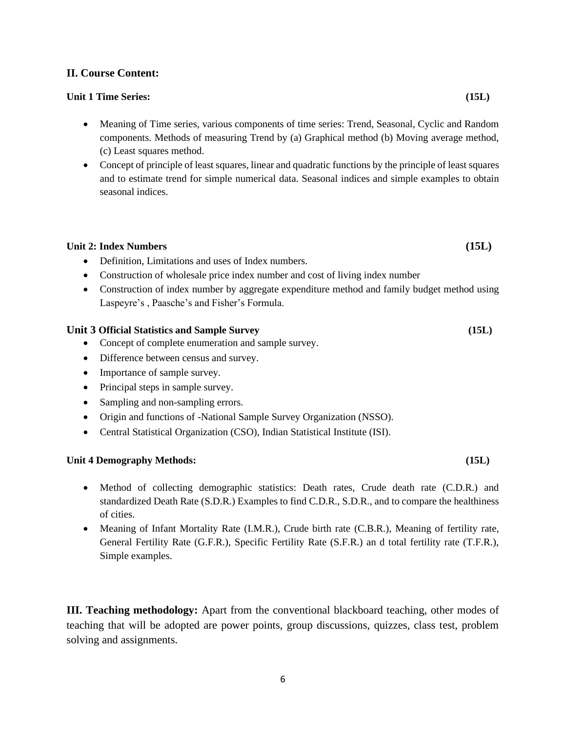## **II. Course Content:**

#### **Unit 1 Time Series: (15L)**

- Meaning of Time series, various components of time series: Trend, Seasonal, Cyclic and Random components. Methods of measuring Trend by (a) Graphical method (b) Moving average method, (c) Least squares method.
- Concept of principle of least squares, linear and quadratic functions by the principle of least squares and to estimate trend for simple numerical data. Seasonal indices and simple examples to obtain seasonal indices.

#### **Unit 2: Index Numbers (15L)**

- Definition, Limitations and uses of Index numbers.
- Construction of wholesale price index number and cost of living index number
- Construction of index number by aggregate expenditure method and family budget method using Laspeyre's , Paasche's and Fisher's Formula.

#### **Unit 3 Official Statistics and Sample Survey (15L)**

- Concept of complete enumeration and sample survey.
- Difference between census and survey.
- Importance of sample survey.
- Principal steps in sample survey.
- Sampling and non-sampling errors.
- Origin and functions of -National Sample Survey Organization (NSSO).
- Central Statistical Organization (CSO), Indian Statistical Institute (ISI).

#### **Unit 4 Demography Methods: (15L)**

- Method of collecting demographic statistics: Death rates, Crude death rate (C.D.R.) and standardized Death Rate (S.D.R.) Examples to find C.D.R., S.D.R., and to compare the healthiness of cities.
- Meaning of Infant Mortality Rate (I.M.R.), Crude birth rate (C.B.R.), Meaning of fertility rate, General Fertility Rate (G.F.R.), Specific Fertility Rate (S.F.R.) an d total fertility rate (T.F.R.), Simple examples.

**III. Teaching methodology:** Apart from the conventional blackboard teaching, other modes of teaching that will be adopted are power points, group discussions, quizzes, class test, problem solving and assignments.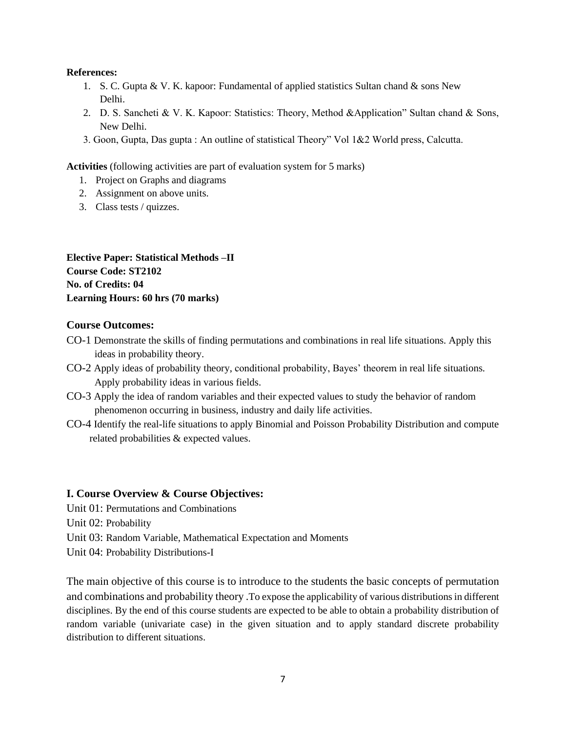#### **References:**

- 1. S. C. Gupta & V. K. kapoor: Fundamental of applied statistics Sultan chand & sons New Delhi.
- 2. D. S. Sancheti & V. K. Kapoor: Statistics: Theory, Method &Application" Sultan chand & Sons, New Delhi.
- 3. Goon, Gupta, Das gupta : An outline of statistical Theory" Vol 1&2 World press, Calcutta.

**Activities** (following activities are part of evaluation system for 5 marks)

- 1. Project on Graphs and diagrams
- 2. Assignment on above units.
- 3. Class tests / quizzes.

**Elective Paper: Statistical Methods –II Course Code: ST2102 No. of Credits: 04 Learning Hours: 60 hrs (70 marks)**

## **Course Outcomes:**

- CO-1 Demonstrate the skills of finding permutations and combinations in real life situations. Apply this ideas in probability theory.
- CO-2 Apply ideas of probability theory, conditional probability, Bayes' theorem in real life situations. Apply probability ideas in various fields.
- CO-3 Apply the idea of random variables and their expected values to study the behavior of random phenomenon occurring in business, industry and daily life activities.
- CO-4 Identify the real-life situations to apply Binomial and Poisson Probability Distribution and compute related probabilities & expected values.

# **I. Course Overview & Course Objectives:**

- Unit 01: Permutations and Combinations
- Unit 02: Probability
- Unit 03: Random Variable, Mathematical Expectation and Moments
- Unit 04: Probability Distributions-I

The main objective of this course is to introduce to the students the basic concepts of permutation and combinations and probability theory .To expose the applicability of various distributions in different disciplines. By the end of this course students are expected to be able to obtain a probability distribution of random variable (univariate case) in the given situation and to apply standard discrete probability distribution to different situations.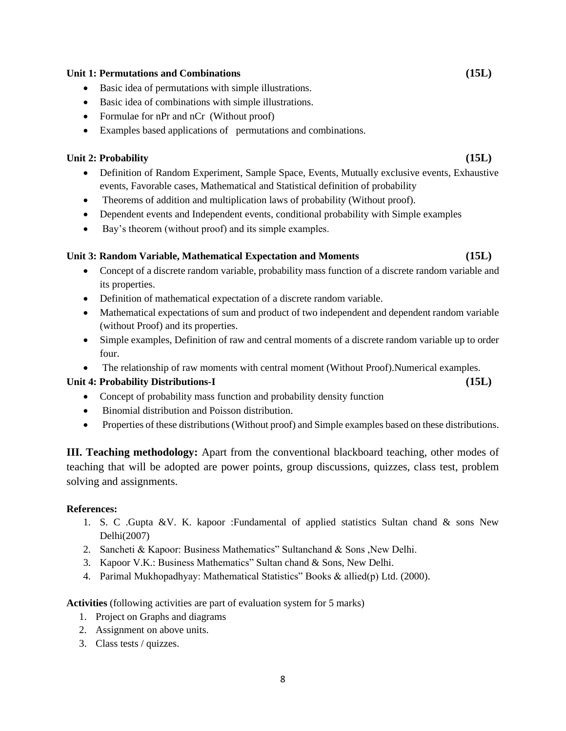#### 8

#### **Unit 1: Permutations and Combinations (15L)**

- Basic idea of permutations with simple illustrations.
- Basic idea of combinations with simple illustrations.
- Formulae for nPr and nCr (Without proof)
- Examples based applications of permutations and combinations.

# **Unit 2: Probability (15L)**

- Definition of Random Experiment, Sample Space, Events, Mutually exclusive events, Exhaustive events, Favorable cases, Mathematical and Statistical definition of probability
- Theorems of addition and multiplication laws of probability (Without proof).
- Dependent events and Independent events, conditional probability with Simple examples
- Bay's theorem (without proof) and its simple examples.

# **Unit 3: Random Variable, Mathematical Expectation and Moments (15L)**

- Concept of a discrete random variable, probability mass function of a discrete random variable and its properties.
- Definition of mathematical expectation of a discrete random variable.
- Mathematical expectations of sum and product of two independent and dependent random variable (without Proof) and its properties.
- Simple examples, Definition of raw and central moments of a discrete random variable up to order four.
- The relationship of raw moments with central moment (Without Proof). Numerical examples.

# **Unit 4: Probability Distributions-I (15L)**

- Concept of probability mass function and probability density function
- Binomial distribution and Poisson distribution.
- Properties of these distributions (Without proof) and Simple examples based on these distributions.

**III. Teaching methodology:** Apart from the conventional blackboard teaching, other modes of teaching that will be adopted are power points, group discussions, quizzes, class test, problem solving and assignments.

# **References:**

- 1. S. C .Gupta &V. K. kapoor :Fundamental of applied statistics Sultan chand & sons New Delhi(2007)
- 2. Sancheti & Kapoor: Business Mathematics" Sultanchand & Sons ,New Delhi.
- 3. Kapoor V.K.: Business Mathematics" Sultan chand & Sons, New Delhi.
- 4. Parimal Mukhopadhyay: Mathematical Statistics" Books & allied(p) Ltd. (2000).

- 1. Project on Graphs and diagrams
- 2. Assignment on above units.
- 3. Class tests / quizzes.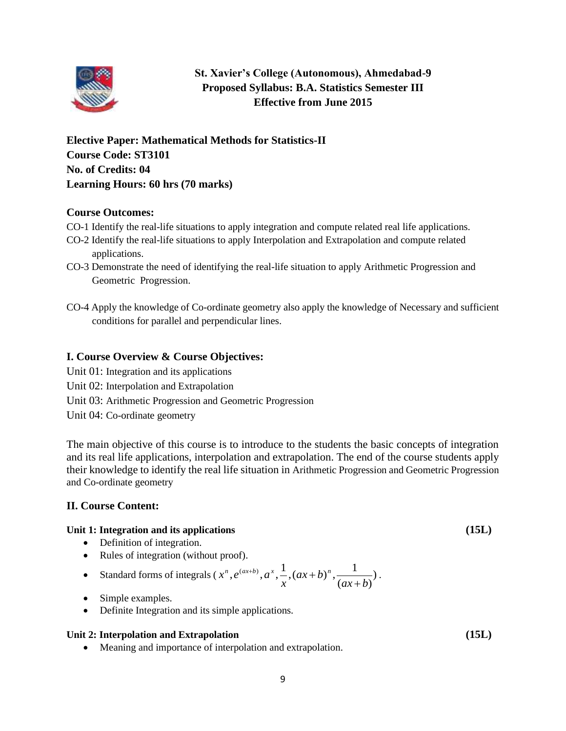

# **St. Xavier's College (Autonomous), Ahmedabad-9 Proposed Syllabus: B.A. Statistics Semester III Effective from June 2015**

**Elective Paper: Mathematical Methods for Statistics-II Course Code: ST3101 No. of Credits: 04 Learning Hours: 60 hrs (70 marks)**

# **Course Outcomes:**

- CO-1 Identify the real-life situations to apply integration and compute related real life applications.
- CO-2 Identify the real-life situations to apply Interpolation and Extrapolation and compute related applications.
- CO-3 Demonstrate the need of identifying the real-life situation to apply Arithmetic Progression and Geometric Progression.
- CO-4 Apply the knowledge of Co-ordinate geometry also apply the knowledge of Necessary and sufficient conditions for parallel and perpendicular lines.

# **I. Course Overview & Course Objectives:**

- Unit 01: Integration and its applications
- Unit 02: Interpolation and Extrapolation
- Unit 03: Arithmetic Progression and Geometric Progression
- Unit 04: Co-ordinate geometry

The main objective of this course is to introduce to the students the basic concepts of integration and its real life applications, interpolation and extrapolation. The end of the course students apply their knowledge to identify the real life situation in Arithmetic Progression and Geometric Progression and Co-ordinate geometry

# **II. Course Content:**

# **Unit 1: Integration and its applications (15L)**

- Definition of integration.
- Rules of integration (without proof).

• Standard forms of integrals 
$$
(x^n, e^{(ax+b)}, a^x, \frac{1}{x}, (ax+b)^n, \frac{1}{(ax+b)})
$$
.

- Simple examples.
- Definite Integration and its simple applications.

# **Unit 2: Interpolation and Extrapolation (15L)**

• Meaning and importance of interpolation and extrapolation.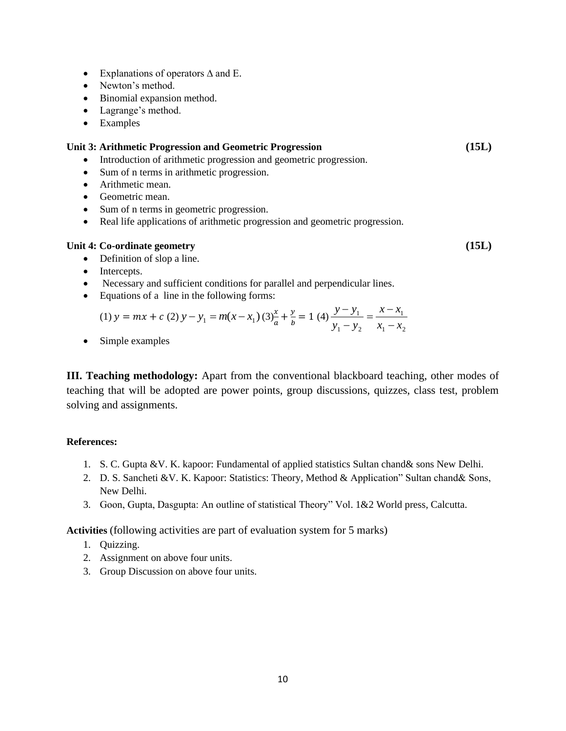- Explanations of operators ∆ and E.
- Newton's method.
- Binomial expansion method.
- Lagrange's method.
- Examples

#### **Unit 3: Arithmetic Progression and Geometric Progression (15L)**

- Introduction of arithmetic progression and geometric progression.
- Sum of n terms in arithmetic progression.
- Arithmetic mean.
- Geometric mean.
- Sum of n terms in geometric progression.
- Real life applications of arithmetic progression and geometric progression.

#### **Unit 4: Co-ordinate geometry (15L)**

- Definition of slop a line.
- Intercepts.
- Necessary and sufficient conditions for parallel and perpendicular lines.
- Equations of a line in the following forms:

(1) 
$$
y = mx + c
$$
 (2)  $y - y_1 = m(x - x_1)$  (3)  $\frac{x}{a} + \frac{y}{b} = 1$  (4)  $\frac{y - y_1}{y_1 - y_2} = \frac{x - x_1}{x_1 - x_2}$ 

• Simple examples

**III. Teaching methodology:** Apart from the conventional blackboard teaching, other modes of teaching that will be adopted are power points, group discussions, quizzes, class test, problem solving and assignments.

#### **References:**

- 1. S. C. Gupta &V. K. kapoor: Fundamental of applied statistics Sultan chand& sons New Delhi.
- 2. D. S. Sancheti &V. K. Kapoor: Statistics: Theory, Method & Application" Sultan chand& Sons, New Delhi.
- 3. Goon, Gupta, Dasgupta: An outline of statistical Theory" Vol. 1&2 World press, Calcutta.

- 1. Quizzing.
- 2. Assignment on above four units.
- 3. Group Discussion on above four units.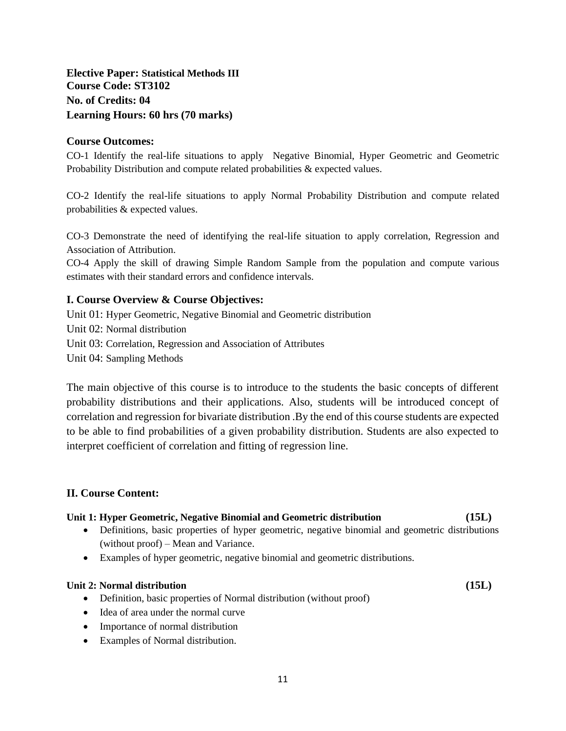# **Elective Paper: Statistical Methods III Course Code: ST3102 No. of Credits: 04 Learning Hours: 60 hrs (70 marks)**

## **Course Outcomes:**

CO-1 Identify the real-life situations to apply Negative Binomial, Hyper Geometric and Geometric Probability Distribution and compute related probabilities & expected values.

CO-2 Identify the real-life situations to apply Normal Probability Distribution and compute related probabilities & expected values.

CO-3 Demonstrate the need of identifying the real-life situation to apply correlation, Regression and Association of Attribution.

CO-4 Apply the skill of drawing Simple Random Sample from the population and compute various estimates with their standard errors and confidence intervals.

# **I. Course Overview & Course Objectives:**

Unit 01: Hyper Geometric, Negative Binomial and Geometric distribution Unit 02: Normal distribution Unit 03: Correlation, Regression and Association of Attributes Unit 04: Sampling Methods

The main objective of this course is to introduce to the students the basic concepts of different probability distributions and their applications. Also, students will be introduced concept of correlation and regression for bivariate distribution .By the end of this course students are expected to be able to find probabilities of a given probability distribution. Students are also expected to interpret coefficient of correlation and fitting of regression line.

# **II. Course Content:**

#### **Unit 1: Hyper Geometric, Negative Binomial and Geometric distribution (15L)**

- Definitions, basic properties of hyper geometric, negative binomial and geometric distributions (without proof) – Mean and Variance.
- Examples of hyper geometric, negative binomial and geometric distributions.

#### **Unit 2: Normal distribution (15L)**

- Definition, basic properties of Normal distribution (without proof)
- Idea of area under the normal curve
- Importance of normal distribution
- Examples of Normal distribution.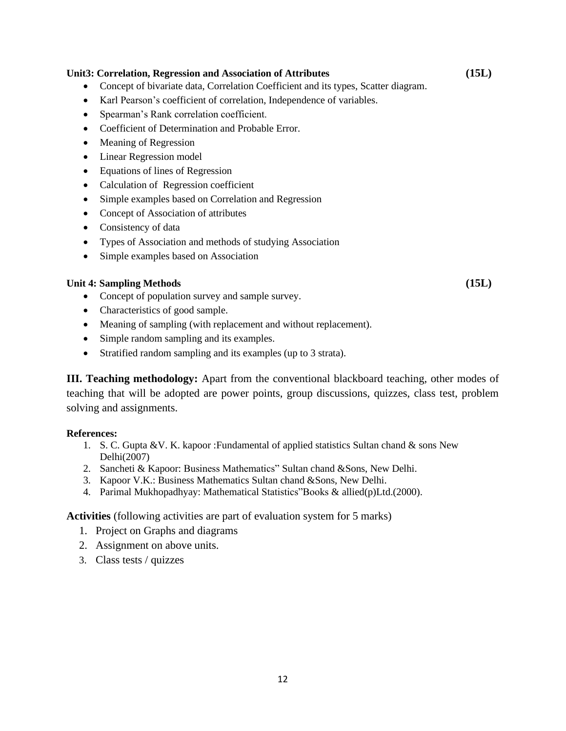#### **Unit3: Correlation, Regression and Association of Attributes (15L)**

- Concept of bivariate data, Correlation Coefficient and its types, Scatter diagram.
- Karl Pearson's coefficient of correlation, Independence of variables.
- Spearman's Rank correlation coefficient.
- Coefficient of Determination and Probable Error.
- Meaning of Regression
- Linear Regression model
- Equations of lines of Regression
- Calculation of Regression coefficient
- Simple examples based on Correlation and Regression
- Concept of Association of attributes
- Consistency of data
- Types of Association and methods of studying Association
- Simple examples based on Association

#### **Unit 4: Sampling Methods (15L)**

- Concept of population survey and sample survey.
- Characteristics of good sample.
- Meaning of sampling (with replacement and without replacement).
- Simple random sampling and its examples.
- Stratified random sampling and its examples (up to 3 strata).

**III. Teaching methodology:** Apart from the conventional blackboard teaching, other modes of teaching that will be adopted are power points, group discussions, quizzes, class test, problem solving and assignments.

#### **References:**

- 1. S. C. Gupta &V. K. kapoor :Fundamental of applied statistics Sultan chand & sons New Delhi(2007)
- 2. Sancheti & Kapoor: Business Mathematics" Sultan chand &Sons, New Delhi.
- 3. Kapoor V.K.: Business Mathematics Sultan chand &Sons, New Delhi.
- 4. Parimal Mukhopadhyay: Mathematical Statistics"Books & allied(p)Ltd.(2000).

- 1. Project on Graphs and diagrams
- 2. Assignment on above units.
- 3. Class tests / quizzes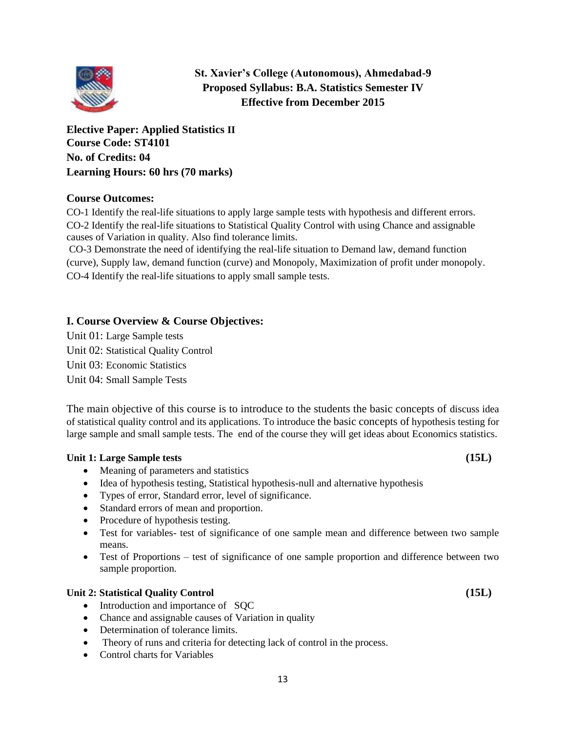

**St. Xavier's College (Autonomous), Ahmedabad-9 Proposed Syllabus: B.A. Statistics Semester IV Effective from December 2015**

**Elective Paper: Applied Statistics II Course Code: ST4101 No. of Credits: 04 Learning Hours: 60 hrs (70 marks)**

# **Course Outcomes:**

CO-1 Identify the real-life situations to apply large sample tests with hypothesis and different errors. CO-2 Identify the real-life situations to Statistical Quality Control with using Chance and assignable causes of Variation in quality. Also find tolerance limits.

CO-3 Demonstrate the need of identifying the real-life situation to Demand law, demand function (curve), Supply law, demand function (curve) and Monopoly, Maximization of profit under monopoly. CO-4 Identify the real-life situations to apply small sample tests.

# **I. Course Overview & Course Objectives:**

Unit 01: Large Sample tests Unit 02: Statistical Quality Control Unit 03: Economic Statistics Unit 04: Small Sample Tests

The main objective of this course is to introduce to the students the basic concepts of discuss idea of statistical quality control and its applications. To introduce the basic concepts of hypothesis testing for large sample and small sample tests. The end of the course they will get ideas about Economics statistics.

# **Unit 1: Large Sample tests (15L)**

• Meaning of parameters and statistics

- Idea of hypothesis testing, Statistical hypothesis-null and alternative hypothesis
- Types of error, Standard error, level of significance.
- Standard errors of mean and proportion.
- Procedure of hypothesis testing.
- Test for variables- test of significance of one sample mean and difference between two sample means.
- Test of Proportions test of significance of one sample proportion and difference between two sample proportion.

# **Unit 2: Statistical Quality Control (15L)**

- Introduction and importance of SOC
- Chance and assignable causes of Variation in quality
- Determination of tolerance limits.
- Theory of runs and criteria for detecting lack of control in the process.
- Control charts for Variables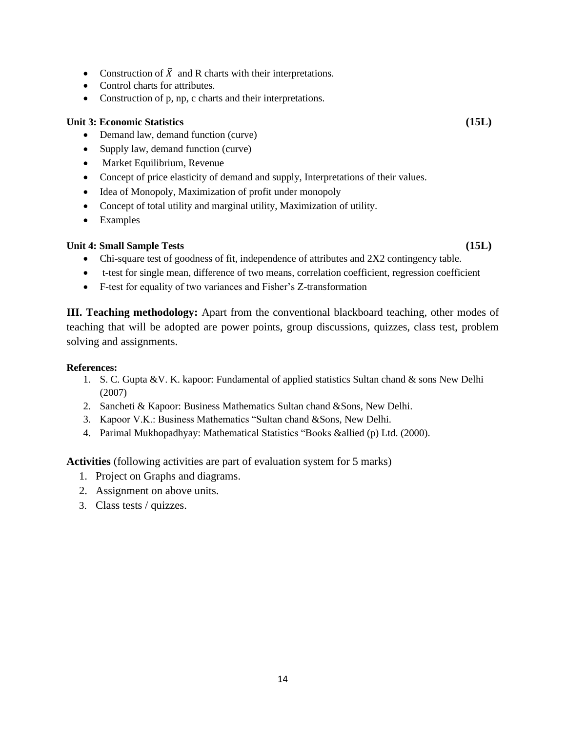- Construction of  $\overline{X}$  and R charts with their interpretations.
- Control charts for attributes.
- Construction of p, np, c charts and their interpretations.

# **Unit 3: Economic Statistics (15L)**

- Demand law, demand function (curve)
- Supply law, demand function (curve)
- Market Equilibrium, Revenue
- Concept of price elasticity of demand and supply, Interpretations of their values.
- Idea of Monopoly, Maximization of profit under monopoly
- Concept of total utility and marginal utility, Maximization of utility.
- Examples

# **Unit 4: Small Sample Tests (15L)**

- Chi-square test of goodness of fit, independence of attributes and 2X2 contingency table.
- t-test for single mean, difference of two means, correlation coefficient, regression coefficient
- F-test for equality of two variances and Fisher's Z-transformation

**III. Teaching methodology:** Apart from the conventional blackboard teaching, other modes of teaching that will be adopted are power points, group discussions, quizzes, class test, problem solving and assignments.

#### **References:**

- 1. S. C. Gupta &V. K. kapoor: Fundamental of applied statistics Sultan chand & sons New Delhi (2007)
- 2. Sancheti & Kapoor: Business Mathematics Sultan chand &Sons, New Delhi.
- 3. Kapoor V.K.: Business Mathematics "Sultan chand &Sons, New Delhi.
- 4. Parimal Mukhopadhyay: Mathematical Statistics "Books &allied (p) Ltd. (2000).

- 1. Project on Graphs and diagrams.
- 2. Assignment on above units.
- 3. Class tests / quizzes.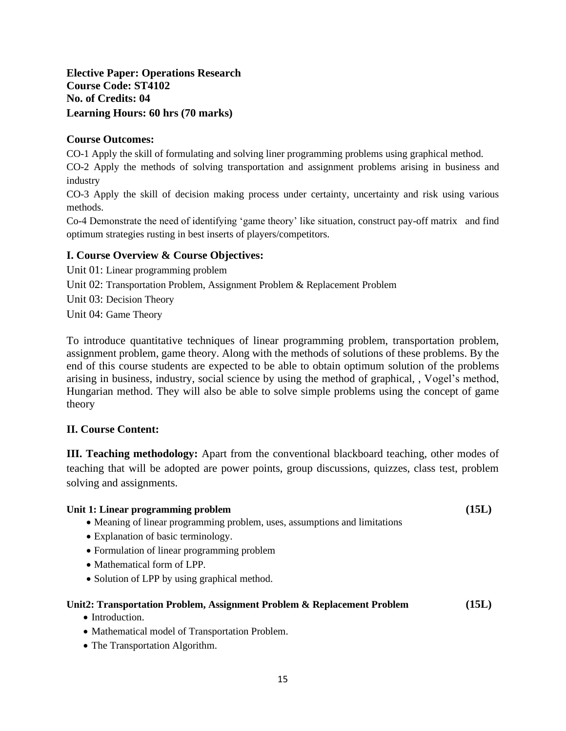# **Elective Paper: Operations Research Course Code: ST4102 No. of Credits: 04 Learning Hours: 60 hrs (70 marks)**

# **Course Outcomes:**

CO-1 Apply the skill of formulating and solving liner programming problems using graphical method.

CO-2 Apply the methods of solving transportation and assignment problems arising in business and industry

CO-3 Apply the skill of decision making process under certainty, uncertainty and risk using various methods.

Co-4 Demonstrate the need of identifying 'game theory' like situation, construct pay-off matrix and find optimum strategies rusting in best inserts of players/competitors.

## **I. Course Overview & Course Objectives:**

Unit 01: Linear programming problem

Unit 02: Transportation Problem, Assignment Problem & Replacement Problem

Unit 03: Decision Theory

Unit 04: Game Theory

To introduce quantitative techniques of linear programming problem, transportation problem, assignment problem, game theory. Along with the methods of solutions of these problems. By the end of this course students are expected to be able to obtain optimum solution of the problems arising in business, industry, social science by using the method of graphical, , Vogel's method, Hungarian method. They will also be able to solve simple problems using the concept of game theory

# **II. Course Content:**

**III. Teaching methodology:** Apart from the conventional blackboard teaching, other modes of teaching that will be adopted are power points, group discussions, quizzes, class test, problem solving and assignments.

#### Unit 1: Linear programming problem **(15L)** (15L)

- 
- Meaning of linear programming problem, uses, assumptions and limitations
- Explanation of basic terminology.
- Formulation of linear programming problem
- Mathematical form of LPP.
- Solution of LPP by using graphical method.

# **Unit2: Transportation Problem, Assignment Problem & Replacement Problem (15L)**

- Introduction
- Mathematical model of Transportation Problem.
- The Transportation Algorithm.